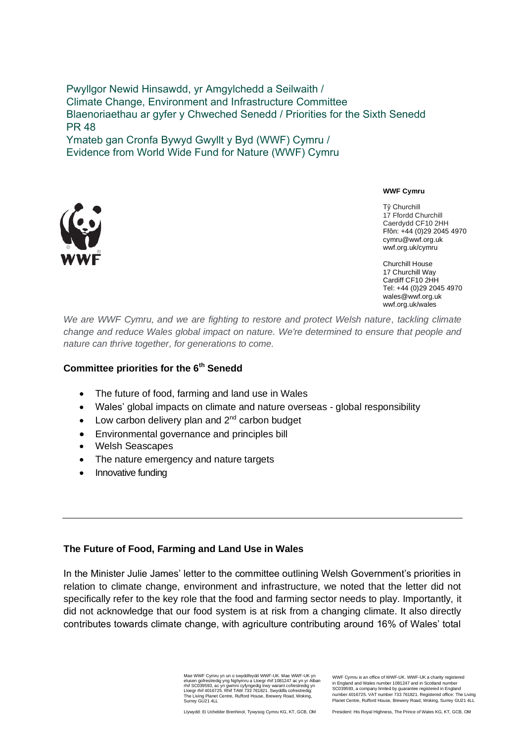Pwyllgor Newid Hinsawdd, yr Amgylchedd a Seilwaith / Climate Change, Environment and Infrastructure Committee Blaenoriaethau ar gyfer y Chweched Senedd / Priorities for the Sixth Senedd PR 48 Ymateb gan Cronfa Bywyd Gwyllt y Byd (WWF) Cymru / Evidence from World Wide Fund for Nature (WWF) Cymru



**WWF Cymru**

Tŷ Churchill 17 Ffordd Churchill Caerdydd CF10 2HH Ffôn: +44 (0)29 2045 4970 cymru@wwf.org.uk wwf.org.uk/cymru

Churchill House 17 Churchill Way Cardiff CF10 2HH Tel: +44 (0)29 2045 4970 wales@wwf.org.uk wwf.org.uk/wales

*We are WWF Cymru, and we are fighting to restore and protect Welsh nature, tackling climate change and reduce Wales global impact on nature. We're determined to ensure that people and nature can thrive together, for generations to come.* 

#### **Committee priorities for the 6th Senedd**

- The future of food, farming and land use in Wales
- Wales' global impacts on climate and nature overseas global responsibility
- $\bullet$  Low carbon delivery plan and  $2^{nd}$  carbon budget
- Environmental governance and principles bill
- Welsh Seascapes
- The nature emergency and nature targets
- Innovative funding

## **The Future of Food, Farming and Land Use in Wales**

In the Minister Julie James' letter to the committee outlining Welsh Government's priorities in relation to climate change, environment and infrastructure, we noted that the letter did not specifically refer to the key role that the food and farming sector needs to play. Importantly, it did not acknowledge that our food system is at risk from a changing climate. It also directly contributes towards climate change, with agriculture contributing around 16% of Wales' total

> Mae WWF Cymru yn un o swyddfeydd WWF-UK. Mae WWF-UK yn elusen gofrestredig yng Nghymru a Lloegr rhif 1081247 ac yn yr Alban<br>rhif SC039593, ac yn gwmni cyfyngedig trwy warant cofrestredig yn<br>Lloegr rhif 4016725. Rhif TAW 733 761821. Swyddfa cofrestredig: The Living Planet Centre, Rufford House, Brewery Road, Woking, Surrey GU21 4LL

WWF Cymru is an office of WWF-UK. WWF-UK a charity registered in England and Wales number 1081247 and in Scotland number SC039593, a company limited by guarantee registered in England number 4016725. VAT number 733 761821. Registered office: The Living Planet Centre, Rufford House, Brewery Road, Woking, Surrey GU21 4LL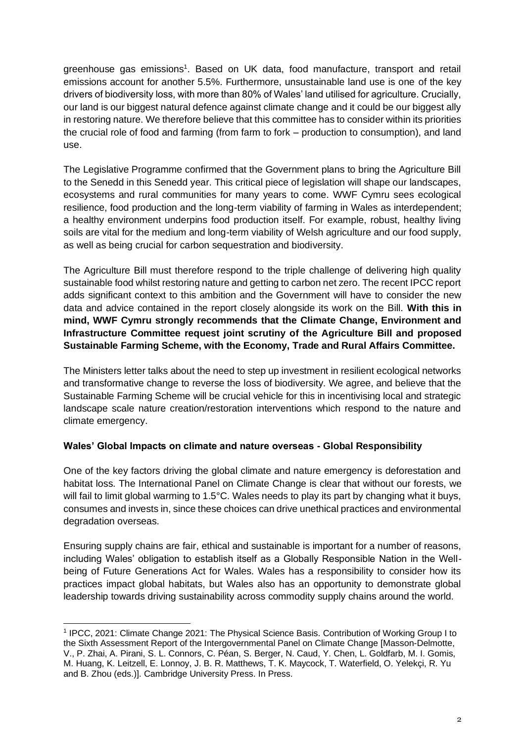greenhouse gas emissions<sup>1</sup>. Based on UK data, food manufacture, transport and retail emissions account for another 5.5%. Furthermore, unsustainable land use is one of the key drivers of biodiversity loss, with more than 80% of Wales' land utilised for agriculture. Crucially, our land is our biggest natural defence against climate change and it could be our biggest ally in restoring nature. We therefore believe that this committee has to consider within its priorities the crucial role of food and farming (from farm to fork – production to consumption), and land use.

The Legislative Programme confirmed that the Government plans to bring the Agriculture Bill to the Senedd in this Senedd year. This critical piece of legislation will shape our landscapes, ecosystems and rural communities for many years to come. WWF Cymru sees ecological resilience, food production and the long-term viability of farming in Wales as interdependent; a healthy environment underpins food production itself. For example, robust, healthy living soils are vital for the medium and long-term viability of Welsh agriculture and our food supply, as well as being crucial for carbon sequestration and biodiversity.

The Agriculture Bill must therefore respond to the triple challenge of delivering high quality sustainable food whilst restoring nature and getting to carbon net zero. The recent IPCC report adds significant context to this ambition and the Government will have to consider the new data and advice contained in the report closely alongside its work on the Bill. **With this in mind, WWF Cymru strongly recommends that the Climate Change, Environment and Infrastructure Committee request joint scrutiny of the Agriculture Bill and proposed Sustainable Farming Scheme, with the Economy, Trade and Rural Affairs Committee.**

The Ministers letter talks about the need to step up investment in resilient ecological networks and transformative change to reverse the loss of biodiversity. We agree, and believe that the Sustainable Farming Scheme will be crucial vehicle for this in incentivising local and strategic landscape scale nature creation/restoration interventions which respond to the nature and climate emergency.

# **Wales' Global Impacts on climate and nature overseas - Global Responsibility**

One of the key factors driving the global climate and nature emergency is deforestation and habitat loss. The International Panel on Climate Change is clear that without our forests, we will fail to limit global warming to 1.5°C. Wales needs to play its part by changing what it buys, consumes and invests in, since these choices can drive unethical practices and environmental degradation overseas.

Ensuring supply chains are fair, ethical and sustainable is important for a number of reasons, including Wales' obligation to establish itself as a Globally Responsible Nation in the Wellbeing of Future Generations Act for Wales. Wales has a responsibility to consider how its practices impact global habitats, but Wales also has an opportunity to demonstrate global leadership towards driving sustainability across commodity supply chains around the world.

<sup>1</sup> IPCC, 2021: Climate Change 2021: The Physical Science Basis. Contribution of Working Group I to the Sixth Assessment Report of the Intergovernmental Panel on Climate Change [Masson-Delmotte, V., P. Zhai, A. Pirani, S. L. Connors, C. Péan, S. Berger, N. Caud, Y. Chen, L. Goldfarb, M. I. Gomis, M. Huang, K. Leitzell, E. Lonnoy, J. B. R. Matthews, T. K. Maycock, T. Waterfield, O. Yelekçi, R. Yu and B. Zhou (eds.)]. Cambridge University Press. In Press.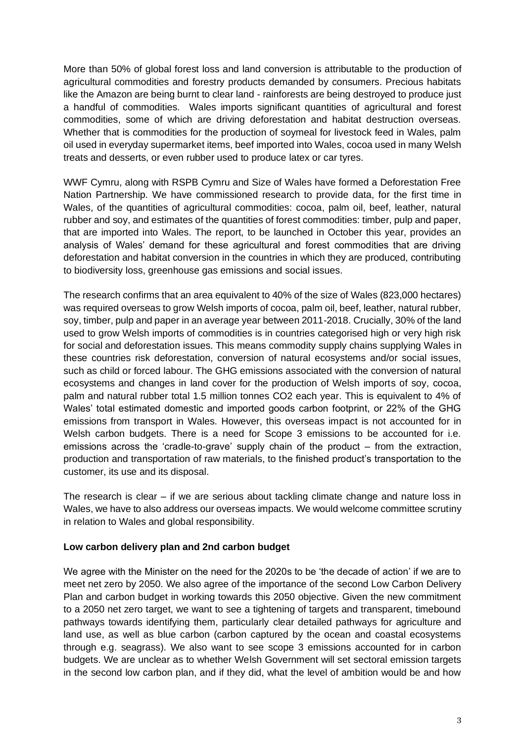More than 50% of global forest loss and land conversion is attributable to the production of agricultural commodities and forestry products demanded by consumers. Precious habitats like the Amazon are being burnt to clear land - rainforests are being destroyed to produce just a handful of commodities. Wales imports significant quantities of agricultural and forest commodities, some of which are driving deforestation and habitat destruction overseas. Whether that is commodities for the production of soymeal for livestock feed in Wales, palm oil used in everyday supermarket items, beef imported into Wales, cocoa used in many Welsh treats and desserts, or even rubber used to produce latex or car tyres.

WWF Cymru, along with RSPB Cymru and Size of Wales have formed a Deforestation Free Nation Partnership. We have commissioned research to provide data, for the first time in Wales, of the quantities of agricultural commodities: cocoa, palm oil, beef, leather, natural rubber and soy, and estimates of the quantities of forest commodities: timber, pulp and paper, that are imported into Wales. The report, to be launched in October this year, provides an analysis of Wales' demand for these agricultural and forest commodities that are driving deforestation and habitat conversion in the countries in which they are produced, contributing to biodiversity loss, greenhouse gas emissions and social issues.

The research confirms that an area equivalent to 40% of the size of Wales (823,000 hectares) was required overseas to grow Welsh imports of cocoa, palm oil, beef, leather, natural rubber, soy, timber, pulp and paper in an average year between 2011-2018. Crucially, 30% of the land used to grow Welsh imports of commodities is in countries categorised high or very high risk for social and deforestation issues. This means commodity supply chains supplying Wales in these countries risk deforestation, conversion of natural ecosystems and/or social issues, such as child or forced labour. The GHG emissions associated with the conversion of natural ecosystems and changes in land cover for the production of Welsh imports of soy, cocoa, palm and natural rubber total 1.5 million tonnes CO2 each year. This is equivalent to 4% of Wales' total estimated domestic and imported goods carbon footprint, or 22% of the GHG emissions from transport in Wales. However, this overseas impact is not accounted for in Welsh carbon budgets. There is a need for Scope 3 emissions to be accounted for i.e. emissions across the 'cradle-to-grave' supply chain of the product – from the extraction, production and transportation of raw materials, to the finished product's transportation to the customer, its use and its disposal.

The research is clear – if we are serious about tackling climate change and nature loss in Wales, we have to also address our overseas impacts. We would welcome committee scrutiny in relation to Wales and global responsibility.

## **Low carbon delivery plan and 2nd carbon budget**

We agree with the Minister on the need for the 2020s to be 'the decade of action' if we are to meet net zero by 2050. We also agree of the importance of the second Low Carbon Delivery Plan and carbon budget in working towards this 2050 objective. Given the new commitment to a 2050 net zero target, we want to see a tightening of targets and transparent, timebound pathways towards identifying them, particularly clear detailed pathways for agriculture and land use, as well as blue carbon (carbon captured by the ocean and coastal ecosystems through e.g. seagrass). We also want to see scope 3 emissions accounted for in carbon budgets. We are unclear as to whether Welsh Government will set sectoral emission targets in the second low carbon plan, and if they did, what the level of ambition would be and how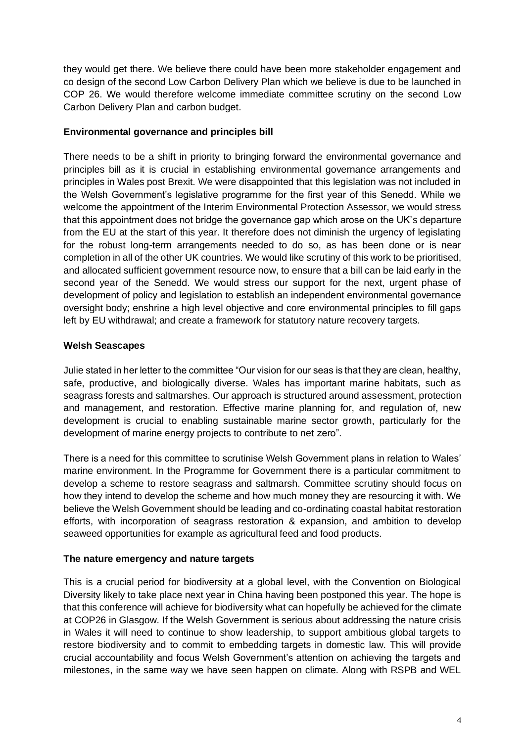they would get there. We believe there could have been more stakeholder engagement and co design of the second Low Carbon Delivery Plan which we believe is due to be launched in COP 26. We would therefore welcome immediate committee scrutiny on the second Low Carbon Delivery Plan and carbon budget.

## **Environmental governance and principles bill**

There needs to be a shift in priority to bringing forward the environmental governance and principles bill as it is crucial in establishing environmental governance arrangements and principles in Wales post Brexit. We were disappointed that this legislation was not included in the Welsh Government's legislative programme for the first year of this Senedd. While we welcome the appointment of the Interim Environmental Protection Assessor, we would stress that this appointment does not bridge the governance gap which arose on the UK's departure from the EU at the start of this year. It therefore does not diminish the urgency of legislating for the robust long-term arrangements needed to do so, as has been done or is near completion in all of the other UK countries. We would like scrutiny of this work to be prioritised, and allocated sufficient government resource now, to ensure that a bill can be laid early in the second year of the Senedd. We would stress our support for the next, urgent phase of development of policy and legislation to establish an independent environmental governance oversight body; enshrine a high level objective and core environmental principles to fill gaps left by EU withdrawal; and create a framework for statutory nature recovery targets.

## **Welsh Seascapes**

Julie stated in her letter to the committee "Our vision for our seas is that they are clean, healthy, safe, productive, and biologically diverse. Wales has important marine habitats, such as seagrass forests and saltmarshes. Our approach is structured around assessment, protection and management, and restoration. Effective marine planning for, and regulation of, new development is crucial to enabling sustainable marine sector growth, particularly for the development of marine energy projects to contribute to net zero".

There is a need for this committee to scrutinise Welsh Government plans in relation to Wales' marine environment. In the Programme for Government there is a particular commitment to develop a scheme to restore seagrass and saltmarsh. Committee scrutiny should focus on how they intend to develop the scheme and how much money they are resourcing it with. We believe the Welsh Government should be leading and co-ordinating coastal habitat restoration efforts, with incorporation of seagrass restoration & expansion, and ambition to develop seaweed opportunities for example as agricultural feed and food products.

## **The nature emergency and nature targets**

This is a crucial period for biodiversity at a global level, with the Convention on Biological Diversity likely to take place next year in China having been postponed this year. The hope is that this conference will achieve for biodiversity what can hopefully be achieved for the climate at COP26 in Glasgow. If the Welsh Government is serious about addressing the nature crisis in Wales it will need to continue to show leadership, to support ambitious global targets to restore biodiversity and to commit to embedding targets in domestic law. This will provide crucial accountability and focus Welsh Government's attention on achieving the targets and milestones, in the same way we have seen happen on climate. Along with RSPB and WEL